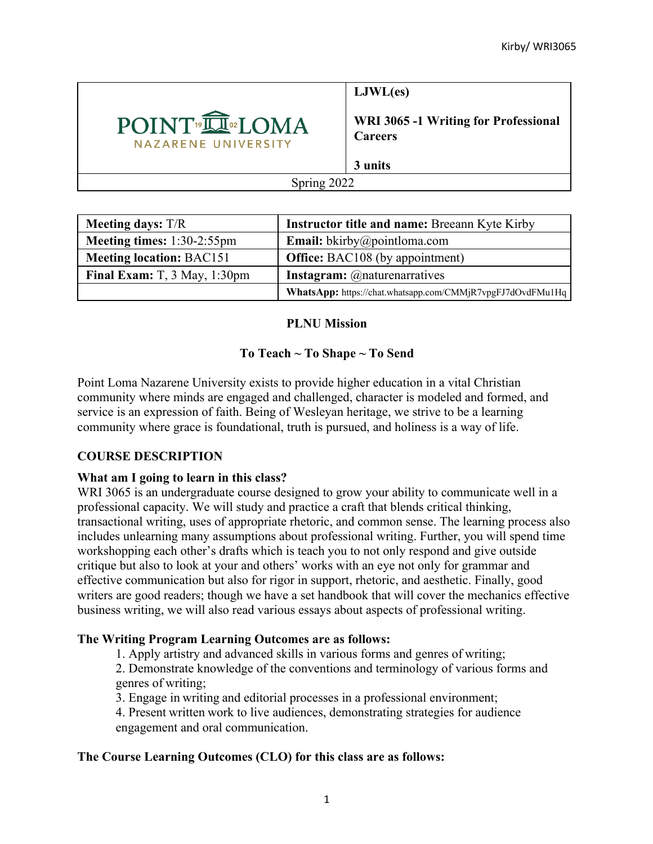

**LJWL(es)**

**WRI 3065 -1 Writing for Professional Careers**

**3 units**

Spring 2022

| <b>Meeting days:</b> T/R             | Instructor title and name: Breeann Kyte Kirby              |
|--------------------------------------|------------------------------------------------------------|
| Meeting times: $1:30-2:55$ pm        | <b>Email:</b> bkirby@pointloma.com                         |
| <b>Meeting location: BAC151</b>      | <b>Office:</b> BAC108 (by appointment)                     |
| Final Exam: $T$ , $3$ May, $1:30$ pm | <b>Instagram:</b> @naturenarratives                        |
|                                      | WhatsApp: https://chat.whatsapp.com/CMMjR7vpgFJ7dOvdFMu1Hq |

## **PLNU Mission**

# **To Teach ~ To Shape ~ To Send**

Point Loma Nazarene University exists to provide higher education in a vital Christian community where minds are engaged and challenged, character is modeled and formed, and service is an expression of faith. Being of Wesleyan heritage, we strive to be a learning community where grace is foundational, truth is pursued, and holiness is a way of life.

# **COURSE DESCRIPTION**

## **What am I going to learn in this class?**

WRI 3065 is an undergraduate course designed to grow your ability to communicate well in a professional capacity. We will study and practice a craft that blends critical thinking, transactional writing, uses of appropriate rhetoric, and common sense. The learning process also includes unlearning many assumptions about professional writing. Further, you will spend time workshopping each other's drafts which is teach you to not only respond and give outside critique but also to look at your and others' works with an eye not only for grammar and effective communication but also for rigor in support, rhetoric, and aesthetic. Finally, good writers are good readers; though we have a set handbook that will cover the mechanics effective business writing, we will also read various essays about aspects of professional writing.

# **The Writing Program Learning Outcomes are as follows:**

1. Apply artistry and advanced skills in various forms and genres of writing;

2. Demonstrate knowledge of the conventions and terminology of various forms and genres of writing;

3. Engage in writing and editorial processes in a professional environment;

4. Present written work to live audiences, demonstrating strategies for audience engagement and oral communication.

# **The Course Learning Outcomes (CLO) for this class are as follows:**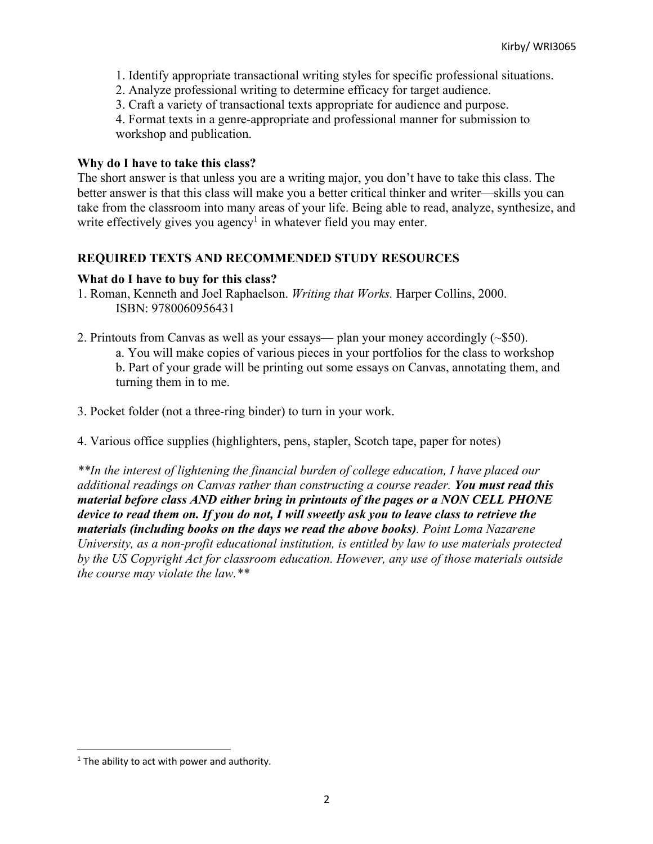- 1. Identify appropriate transactional writing styles for specific professional situations.
- 2. Analyze professional writing to determine efficacy for target audience.
- 3. Craft a variety of transactional texts appropriate for audience and purpose.

4. Format texts in a genre-appropriate and professional manner for submission to workshop and publication.

#### **Why do I have to take this class?**

The short answer is that unless you are a writing major, you don't have to take this class. The better answer is that this class will make you a better critical thinker and writer—skills you can take from the classroom into many areas of your life. Being able to read, analyze, synthesize, and write effectively gives you agency<sup>1</sup> in whatever field you may enter.

## **REQUIRED TEXTS AND RECOMMENDED STUDY RESOURCES**

#### **What do I have to buy for this class?**

- 1. Roman, Kenneth and Joel Raphaelson. *Writing that Works.* Harper Collins, 2000. ISBN: 9780060956431
- 2. Printouts from Canvas as well as your essays— plan your money accordingly (~\$50). a. You will make copies of various pieces in your portfolios for the class to workshop b. Part of your grade will be printing out some essays on Canvas, annotating them, and turning them in to me.
- 3. Pocket folder (not a three-ring binder) to turn in your work.
- 4. Various office supplies (highlighters, pens, stapler, Scotch tape, paper for notes)

*\*\*In the interest of lightening the financial burden of college education, I have placed our additional readings on Canvas rather than constructing a course reader. You must read this material before class AND either bring in printouts of the pages or a NON CELL PHONE device to read them on. If you do not, I will sweetly ask you to leave class to retrieve the materials (including books on the days we read the above books). Point Loma Nazarene University, as a non-profit educational institution, is entitled by law to use materials protected by the US Copyright Act for classroom education. However, any use of those materials outside the course may violate the law.\*\**

 $1$  The ability to act with power and authority.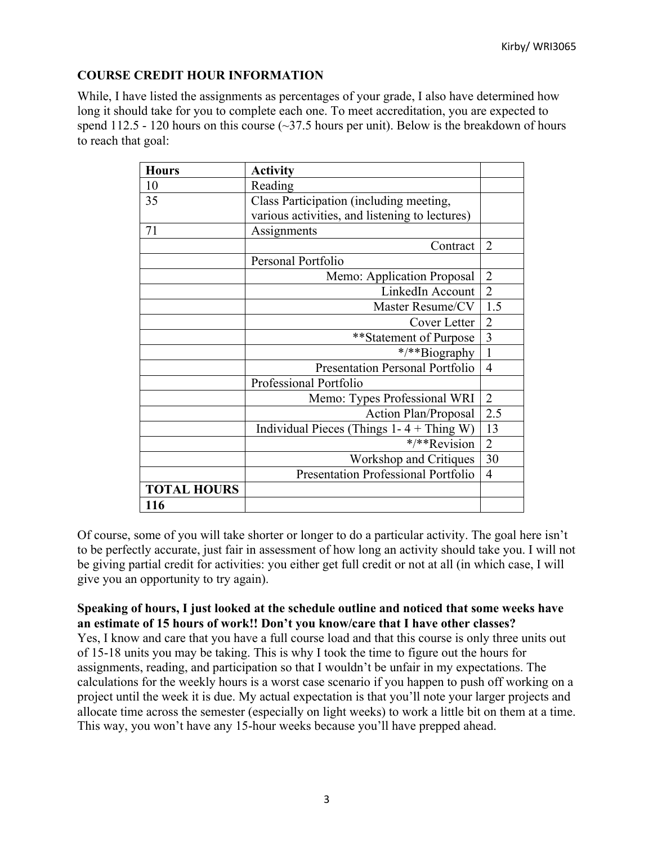## **COURSE CREDIT HOUR INFORMATION**

While, I have listed the assignments as percentages of your grade, I also have determined how long it should take for you to complete each one. To meet accreditation, you are expected to spend  $112.5 - 120$  hours on this course ( $\sim$ 37.5 hours per unit). Below is the breakdown of hours to reach that goal:

| <b>Hours</b>       | <b>Activity</b>                                |                |
|--------------------|------------------------------------------------|----------------|
| 10                 | Reading                                        |                |
| 35                 | Class Participation (including meeting,        |                |
|                    | various activities, and listening to lectures) |                |
| 71                 | Assignments                                    |                |
|                    | Contract                                       | $\overline{2}$ |
|                    | Personal Portfolio                             |                |
|                    | Memo: Application Proposal                     | $\overline{2}$ |
|                    | LinkedIn Account                               | $\overline{2}$ |
|                    | Master Resume/CV                               | 1.5            |
|                    | Cover Letter                                   | $\overline{2}$ |
|                    | **Statement of Purpose                         | $\overline{3}$ |
|                    | */**Biography                                  | $\mathbf{1}$   |
|                    | <b>Presentation Personal Portfolio</b>         | $\overline{4}$ |
|                    | Professional Portfolio                         |                |
|                    | Memo: Types Professional WRI                   | $\overline{2}$ |
|                    | <b>Action Plan/Proposal</b>                    | 2.5            |
|                    | Individual Pieces (Things $1 - 4 +$ Thing W)   | 13             |
|                    | */**Revision                                   | $\overline{2}$ |
|                    | Workshop and Critiques                         | 30             |
|                    | <b>Presentation Professional Portfolio</b>     | $\overline{4}$ |
| <b>TOTAL HOURS</b> |                                                |                |
| 116                |                                                |                |

Of course, some of you will take shorter or longer to do a particular activity. The goal here isn't to be perfectly accurate, just fair in assessment of how long an activity should take you. I will not be giving partial credit for activities: you either get full credit or not at all (in which case, I will give you an opportunity to try again).

**Speaking of hours, I just looked at the schedule outline and noticed that some weeks have an estimate of 15 hours of work!! Don't you know/care that I have other classes?** Yes, I know and care that you have a full course load and that this course is only three units out of 15-18 units you may be taking. This is why I took the time to figure out the hours for assignments, reading, and participation so that I wouldn't be unfair in my expectations. The calculations for the weekly hours is a worst case scenario if you happen to push off working on a project until the week it is due. My actual expectation is that you'll note your larger projects and allocate time across the semester (especially on light weeks) to work a little bit on them at a time. This way, you won't have any 15-hour weeks because you'll have prepped ahead.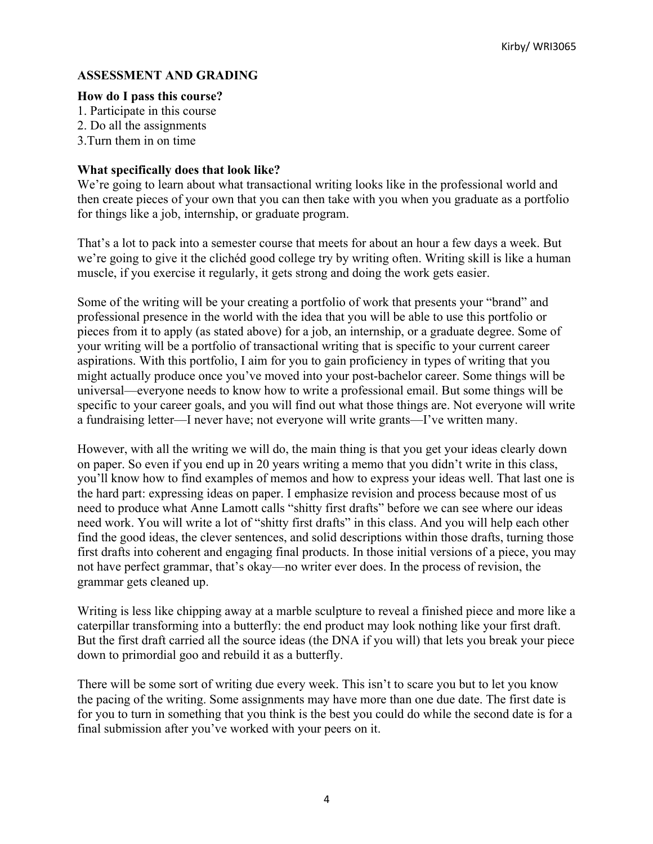#### **ASSESSMENT AND GRADING**

#### **How do I pass this course?**

- 1. Participate in this course
- 2. Do all the assignments
- 3.Turn them in on time

#### **What specifically does that look like?**

We're going to learn about what transactional writing looks like in the professional world and then create pieces of your own that you can then take with you when you graduate as a portfolio for things like a job, internship, or graduate program.

That's a lot to pack into a semester course that meets for about an hour a few days a week. But we're going to give it the clichéd good college try by writing often. Writing skill is like a human muscle, if you exercise it regularly, it gets strong and doing the work gets easier.

Some of the writing will be your creating a portfolio of work that presents your "brand" and professional presence in the world with the idea that you will be able to use this portfolio or pieces from it to apply (as stated above) for a job, an internship, or a graduate degree. Some of your writing will be a portfolio of transactional writing that is specific to your current career aspirations. With this portfolio, I aim for you to gain proficiency in types of writing that you might actually produce once you've moved into your post-bachelor career. Some things will be universal—everyone needs to know how to write a professional email. But some things will be specific to your career goals, and you will find out what those things are. Not everyone will write a fundraising letter—I never have; not everyone will write grants—I've written many.

However, with all the writing we will do, the main thing is that you get your ideas clearly down on paper. So even if you end up in 20 years writing a memo that you didn't write in this class, you'll know how to find examples of memos and how to express your ideas well. That last one is the hard part: expressing ideas on paper. I emphasize revision and process because most of us need to produce what Anne Lamott calls "shitty first drafts" before we can see where our ideas need work. You will write a lot of "shitty first drafts" in this class. And you will help each other find the good ideas, the clever sentences, and solid descriptions within those drafts, turning those first drafts into coherent and engaging final products. In those initial versions of a piece, you may not have perfect grammar, that's okay—no writer ever does. In the process of revision, the grammar gets cleaned up.

Writing is less like chipping away at a marble sculpture to reveal a finished piece and more like a caterpillar transforming into a butterfly: the end product may look nothing like your first draft. But the first draft carried all the source ideas (the DNA if you will) that lets you break your piece down to primordial goo and rebuild it as a butterfly.

There will be some sort of writing due every week. This isn't to scare you but to let you know the pacing of the writing. Some assignments may have more than one due date. The first date is for you to turn in something that you think is the best you could do while the second date is for a final submission after you've worked with your peers on it.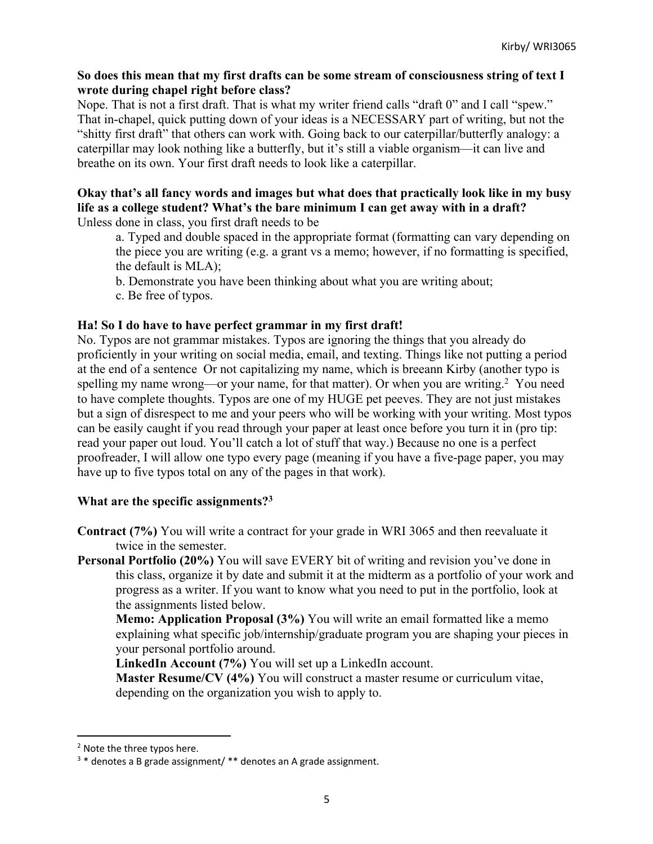#### **So does this mean that my first drafts can be some stream of consciousness string of text I wrote during chapel right before class?**

Nope. That is not a first draft. That is what my writer friend calls "draft 0" and I call "spew." That in-chapel, quick putting down of your ideas is a NECESSARY part of writing, but not the "shitty first draft" that others can work with. Going back to our caterpillar/butterfly analogy: a caterpillar may look nothing like a butterfly, but it's still a viable organism—it can live and breathe on its own. Your first draft needs to look like a caterpillar.

#### **Okay that's all fancy words and images but what does that practically look like in my busy life as a college student? What's the bare minimum I can get away with in a draft?** Unless done in class, you first draft needs to be

a. Typed and double spaced in the appropriate format (formatting can vary depending on the piece you are writing (e.g. a grant vs a memo; however, if no formatting is specified, the default is MLA);

- b. Demonstrate you have been thinking about what you are writing about;
- c. Be free of typos.

## **Ha! So I do have to have perfect grammar in my first draft!**

No. Typos are not grammar mistakes. Typos are ignoring the things that you already do proficiently in your writing on social media, email, and texting. Things like not putting a period at the end of a sentence Or not capitalizing my name, which is breeann Kirby (another typo is spelling my name wrong—or your name, for that matter). Or when you are writing.<sup>2</sup> You need to have complete thoughts. Typos are one of my HUGE pet peeves. They are not just mistakes but a sign of disrespect to me and your peers who will be working with your writing. Most typos can be easily caught if you read through your paper at least once before you turn it in (pro tip: read your paper out loud. You'll catch a lot of stuff that way.) Because no one is a perfect proofreader, I will allow one typo every page (meaning if you have a five-page paper, you may have up to five typos total on any of the pages in that work).

## **What are the specific assignments?3**

- **Contract (7%)** You will write a contract for your grade in WRI 3065 and then reevaluate it twice in the semester.
- **Personal Portfolio (20%)** You will save EVERY bit of writing and revision you've done in this class, organize it by date and submit it at the midterm as a portfolio of your work and progress as a writer. If you want to know what you need to put in the portfolio, look at the assignments listed below.

**Memo: Application Proposal (3%)** You will write an email formatted like a memo explaining what specific job/internship/graduate program you are shaping your pieces in your personal portfolio around.

**LinkedIn Account (7%)** You will set up a LinkedIn account.

**Master Resume/CV (4%)** You will construct a master resume or curriculum vitae, depending on the organization you wish to apply to.

<sup>&</sup>lt;sup>2</sup> Note the three typos here.

<sup>3</sup> \* denotes a B grade assignment/ \*\* denotes an A grade assignment.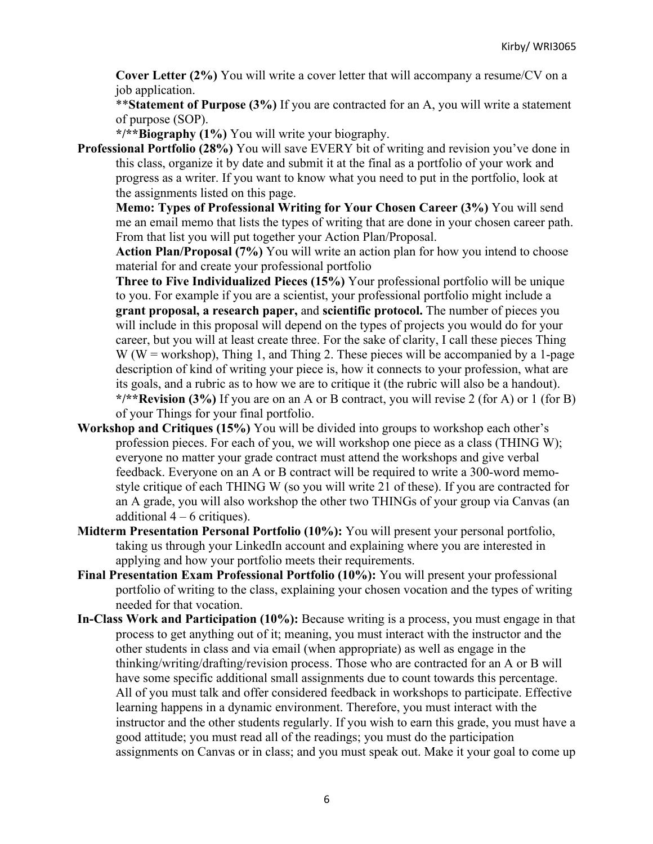**Cover Letter (2%)** You will write a cover letter that will accompany a resume/CV on a job application.

\*\***Statement of Purpose (3%)** If you are contracted for an A, you will write a statement of purpose (SOP).

**\*/\*\*Biography (1%)** You will write your biography.

**Professional Portfolio (28%)** You will save EVERY bit of writing and revision you've done in this class, organize it by date and submit it at the final as a portfolio of your work and progress as a writer. If you want to know what you need to put in the portfolio, look at the assignments listed on this page.

**Memo: Types of Professional Writing for Your Chosen Career (3%)** You will send me an email memo that lists the types of writing that are done in your chosen career path. From that list you will put together your Action Plan/Proposal.

**Action Plan/Proposal (7%)** You will write an action plan for how you intend to choose material for and create your professional portfolio

**Three to Five Individualized Pieces (15%)** Your professional portfolio will be unique to you. For example if you are a scientist, your professional portfolio might include a **grant proposal, a research paper,** and **scientific protocol.** The number of pieces you will include in this proposal will depend on the types of projects you would do for your career, but you will at least create three. For the sake of clarity, I call these pieces Thing  $W$  (W = workshop), Thing 1, and Thing 2. These pieces will be accompanied by a 1-page description of kind of writing your piece is, how it connects to your profession, what are its goals, and a rubric as to how we are to critique it (the rubric will also be a handout). **\*/\*\*Revision (3%)** If you are on an A or B contract, you will revise 2 (for A) or 1 (for B) of your Things for your final portfolio.

- **Workshop and Critiques (15%)** You will be divided into groups to workshop each other's profession pieces. For each of you, we will workshop one piece as a class (THING W); everyone no matter your grade contract must attend the workshops and give verbal feedback. Everyone on an A or B contract will be required to write a 300-word memostyle critique of each THING W (so you will write 21 of these). If you are contracted for an A grade, you will also workshop the other two THINGs of your group via Canvas (an additional  $4 - 6$  critiques).
- **Midterm Presentation Personal Portfolio (10%):** You will present your personal portfolio, taking us through your LinkedIn account and explaining where you are interested in applying and how your portfolio meets their requirements.
- **Final Presentation Exam Professional Portfolio (10%):** You will present your professional portfolio of writing to the class, explaining your chosen vocation and the types of writing needed for that vocation.
- **In-Class Work and Participation (10%):** Because writing is a process, you must engage in that process to get anything out of it; meaning, you must interact with the instructor and the other students in class and via email (when appropriate) as well as engage in the thinking/writing/drafting/revision process. Those who are contracted for an A or B will have some specific additional small assignments due to count towards this percentage. All of you must talk and offer considered feedback in workshops to participate. Effective learning happens in a dynamic environment. Therefore, you must interact with the instructor and the other students regularly. If you wish to earn this grade, you must have a good attitude; you must read all of the readings; you must do the participation assignments on Canvas or in class; and you must speak out. Make it your goal to come up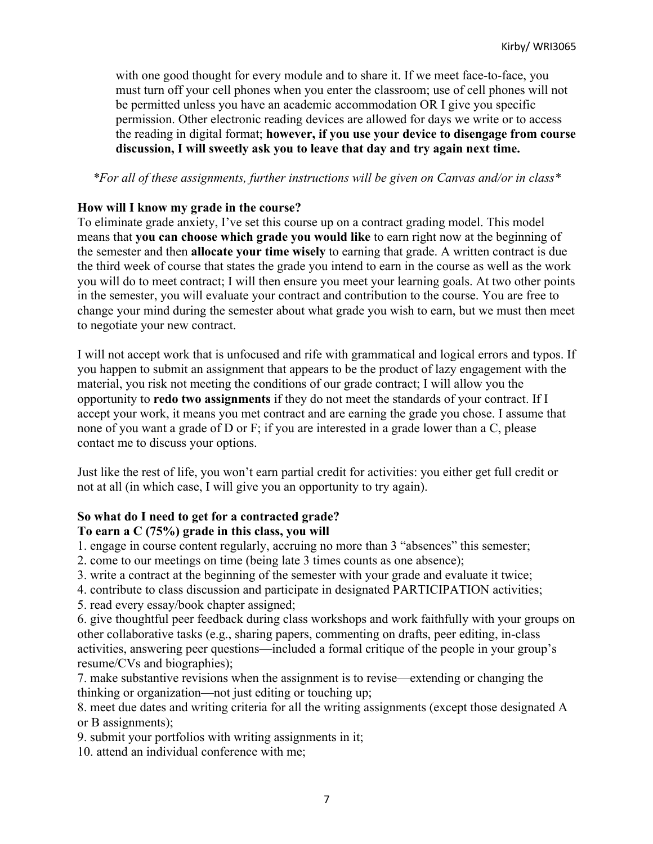with one good thought for every module and to share it. If we meet face-to-face, you must turn off your cell phones when you enter the classroom; use of cell phones will not be permitted unless you have an academic accommodation OR I give you specific permission. Other electronic reading devices are allowed for days we write or to access the reading in digital format; **however, if you use your device to disengage from course discussion, I will sweetly ask you to leave that day and try again next time.**

#### *\*For all of these assignments, further instructions will be given on Canvas and/or in class\**

#### **How will I know my grade in the course?**

To eliminate grade anxiety, I've set this course up on a contract grading model. This model means that **you can choose which grade you would like** to earn right now at the beginning of the semester and then **allocate your time wisely** to earning that grade. A written contract is due the third week of course that states the grade you intend to earn in the course as well as the work you will do to meet contract; I will then ensure you meet your learning goals. At two other points in the semester, you will evaluate your contract and contribution to the course. You are free to change your mind during the semester about what grade you wish to earn, but we must then meet to negotiate your new contract.

I will not accept work that is unfocused and rife with grammatical and logical errors and typos. If you happen to submit an assignment that appears to be the product of lazy engagement with the material, you risk not meeting the conditions of our grade contract; I will allow you the opportunity to **redo two assignments** if they do not meet the standards of your contract. If I accept your work, it means you met contract and are earning the grade you chose. I assume that none of you want a grade of D or F; if you are interested in a grade lower than a C, please contact me to discuss your options.

Just like the rest of life, you won't earn partial credit for activities: you either get full credit or not at all (in which case, I will give you an opportunity to try again).

#### **So what do I need to get for a contracted grade?**

#### **To earn a C (75%) grade in this class, you will**

1. engage in course content regularly, accruing no more than 3 "absences" this semester;

2. come to our meetings on time (being late 3 times counts as one absence);

3. write a contract at the beginning of the semester with your grade and evaluate it twice;

4. contribute to class discussion and participate in designated PARTICIPATION activities;

5. read every essay/book chapter assigned;

6. give thoughtful peer feedback during class workshops and work faithfully with your groups on other collaborative tasks (e.g., sharing papers, commenting on drafts, peer editing, in-class activities, answering peer questions—included a formal critique of the people in your group's resume/CVs and biographies);

7. make substantive revisions when the assignment is to revise—extending or changing the thinking or organization—not just editing or touching up;

8. meet due dates and writing criteria for all the writing assignments (except those designated A or B assignments);

9. submit your portfolios with writing assignments in it;

10. attend an individual conference with me;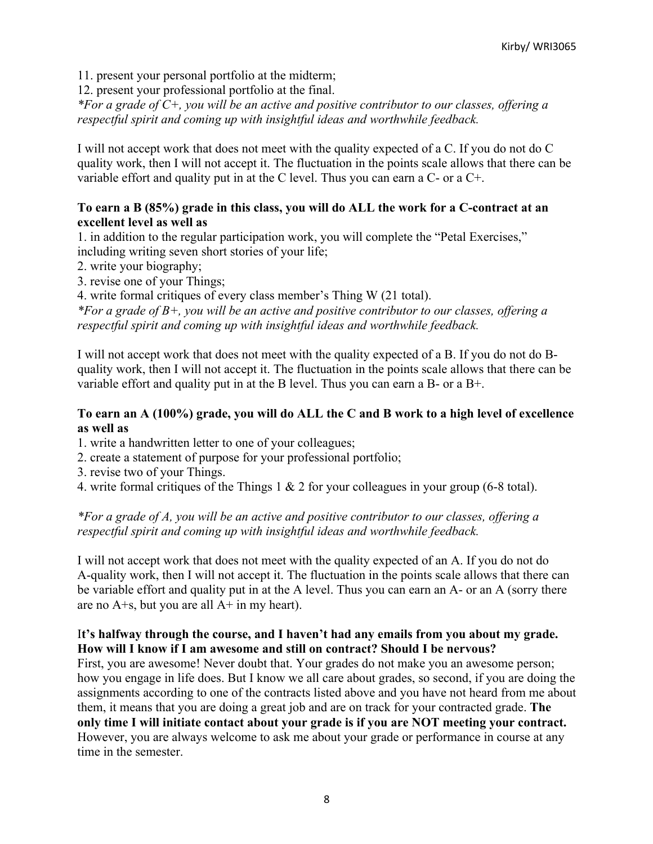11. present your personal portfolio at the midterm;

12. present your professional portfolio at the final.

*\*For a grade of C+, you will be an active and positive contributor to our classes, offering a respectful spirit and coming up with insightful ideas and worthwhile feedback.*

I will not accept work that does not meet with the quality expected of a C. If you do not do C quality work, then I will not accept it. The fluctuation in the points scale allows that there can be variable effort and quality put in at the C level. Thus you can earn a C- or a C+.

#### **To earn a B (85%) grade in this class, you will do ALL the work for a C-contract at an excellent level as well as**

1. in addition to the regular participation work, you will complete the "Petal Exercises," including writing seven short stories of your life;

- 2. write your biography;
- 3. revise one of your Things;

4. write formal critiques of every class member's Thing W (21 total).

*\*For a grade of B+, you will be an active and positive contributor to our classes, offering a respectful spirit and coming up with insightful ideas and worthwhile feedback.*

I will not accept work that does not meet with the quality expected of a B. If you do not do Bquality work, then I will not accept it. The fluctuation in the points scale allows that there can be variable effort and quality put in at the B level. Thus you can earn a B- or a B+.

#### **To earn an A (100%) grade, you will do ALL the C and B work to a high level of excellence as well as**

1. write a handwritten letter to one of your colleagues;

- 2. create a statement of purpose for your professional portfolio;
- 3. revise two of your Things.
- 4. write formal critiques of the Things 1 & 2 for your colleagues in your group (6-8 total).

## *\*For a grade of A, you will be an active and positive contributor to our classes, offering a respectful spirit and coming up with insightful ideas and worthwhile feedback.*

I will not accept work that does not meet with the quality expected of an A. If you do not do A-quality work, then I will not accept it. The fluctuation in the points scale allows that there can be variable effort and quality put in at the A level. Thus you can earn an A- or an A (sorry there are no  $A + s$ , but you are all  $A + in$  my heart).

## I**t's halfway through the course, and I haven't had any emails from you about my grade. How will I know if I am awesome and still on contract? Should I be nervous?**

First, you are awesome! Never doubt that. Your grades do not make you an awesome person; how you engage in life does. But I know we all care about grades, so second, if you are doing the assignments according to one of the contracts listed above and you have not heard from me about them, it means that you are doing a great job and are on track for your contracted grade. **The only time I will initiate contact about your grade is if you are NOT meeting your contract.** However, you are always welcome to ask me about your grade or performance in course at any time in the semester.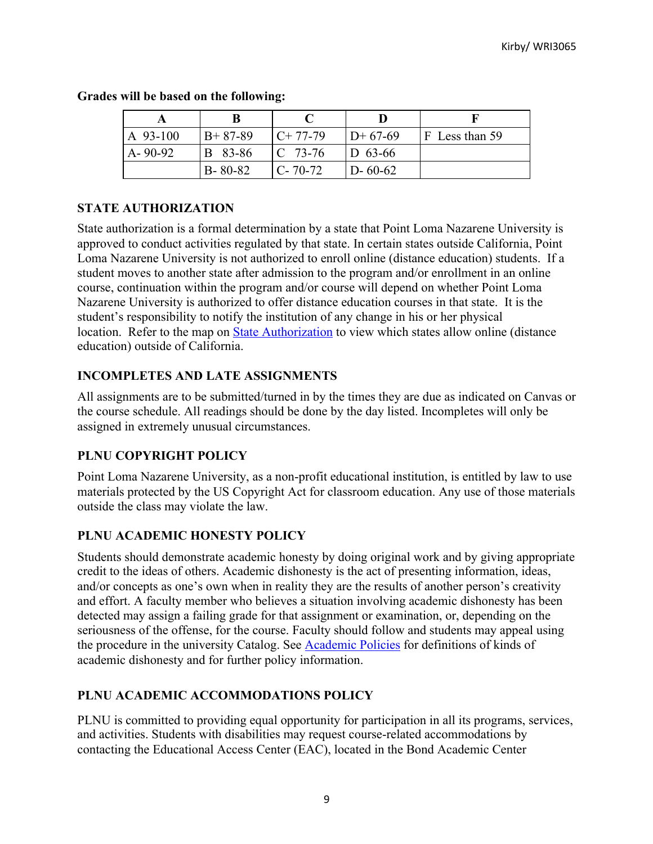| A 93-100      | $B+87-89$     | $C+77-79$          | $ID+67-69$    | $ F $ Less than 59 |
|---------------|---------------|--------------------|---------------|--------------------|
| $A - 90 - 92$ | B 83-86       | $\mathbb{C}$ 73-76 | $D_{63-66}$   |                    |
|               | $B - 80 - 82$ | $C - 70 - 72$      | $D - 60 - 62$ |                    |

#### **Grades will be based on the following:**

# **STATE AUTHORIZATION**

State authorization is a formal determination by a state that Point Loma Nazarene University is approved to conduct activities regulated by that state. In certain states outside California, Point Loma Nazarene University is not authorized to enroll online (distance education) students. If a student moves to another state after admission to the program and/or enrollment in an online course, continuation within the program and/or course will depend on whether Point Loma Nazarene University is authorized to offer distance education courses in that state. It is the student's responsibility to notify the institution of any change in his or her physical location. Refer to the map on **State Authorization** to view which states allow online (distance education) outside of California.

## **INCOMPLETES AND LATE ASSIGNMENTS**

All assignments are to be submitted/turned in by the times they are due as indicated on Canvas or the course schedule. All readings should be done by the day listed. Incompletes will only be assigned in extremely unusual circumstances.

# **PLNU COPYRIGHT POLICY**

Point Loma Nazarene University, as a non-profit educational institution, is entitled by law to use materials protected by the US Copyright Act for classroom education. Any use of those materials outside the class may violate the law.

# **PLNU ACADEMIC HONESTY POLICY**

Students should demonstrate academic honesty by doing original work and by giving appropriate credit to the ideas of others. Academic dishonesty is the act of presenting information, ideas, and/or concepts as one's own when in reality they are the results of another person's creativity and effort. A faculty member who believes a situation involving academic dishonesty has been detected may assign a failing grade for that assignment or examination, or, depending on the seriousness of the offense, for the course. Faculty should follow and students may appeal using the procedure in the university Catalog. See Academic Policies for definitions of kinds of academic dishonesty and for further policy information.

# **PLNU ACADEMIC ACCOMMODATIONS POLICY**

PLNU is committed to providing equal opportunity for participation in all its programs, services, and activities. Students with disabilities may request course-related accommodations by contacting the Educational Access Center (EAC), located in the Bond Academic Center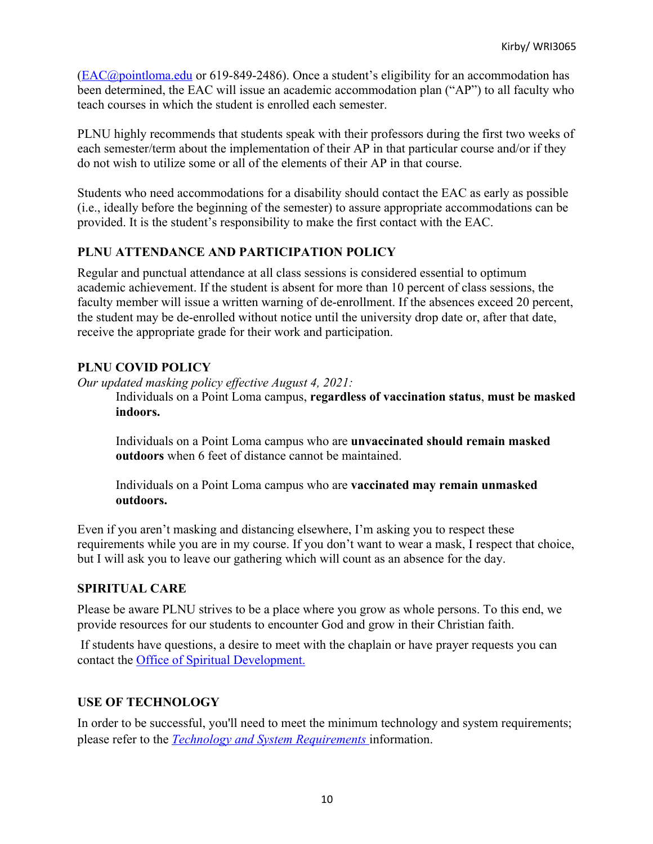(EAC@pointloma.edu or 619-849-2486). Once a student's eligibility for an accommodation has been determined, the EAC will issue an academic accommodation plan ("AP") to all faculty who teach courses in which the student is enrolled each semester.

PLNU highly recommends that students speak with their professors during the first two weeks of each semester/term about the implementation of their AP in that particular course and/or if they do not wish to utilize some or all of the elements of their AP in that course.

Students who need accommodations for a disability should contact the EAC as early as possible (i.e., ideally before the beginning of the semester) to assure appropriate accommodations can be provided. It is the student's responsibility to make the first contact with the EAC.

## **PLNU ATTENDANCE AND PARTICIPATION POLICY**

Regular and punctual attendance at all class sessions is considered essential to optimum academic achievement. If the student is absent for more than 10 percent of class sessions, the faculty member will issue a written warning of de-enrollment. If the absences exceed 20 percent, the student may be de-enrolled without notice until the university drop date or, after that date, receive the appropriate grade for their work and participation.

## **PLNU COVID POLICY**

*Our updated masking policy effective August 4, 2021:*

Individuals on a Point Loma campus, **regardless of vaccination status**, **must be masked indoors.**

Individuals on a Point Loma campus who are **unvaccinated should remain masked outdoors** when 6 feet of distance cannot be maintained.

Individuals on a Point Loma campus who are **vaccinated may remain unmasked outdoors.**

Even if you aren't masking and distancing elsewhere, I'm asking you to respect these requirements while you are in my course. If you don't want to wear a mask, I respect that choice, but I will ask you to leave our gathering which will count as an absence for the day.

## **SPIRITUAL CARE**

Please be aware PLNU strives to be a place where you grow as whole persons. To this end, we provide resources for our students to encounter God and grow in their Christian faith.

If students have questions, a desire to meet with the chaplain or have prayer requests you can contact the Office of Spiritual Development.

## **USE OF TECHNOLOGY**

In order to be successful, you'll need to meet the minimum technology and system requirements; please refer to the *Technology and System Requirements* information.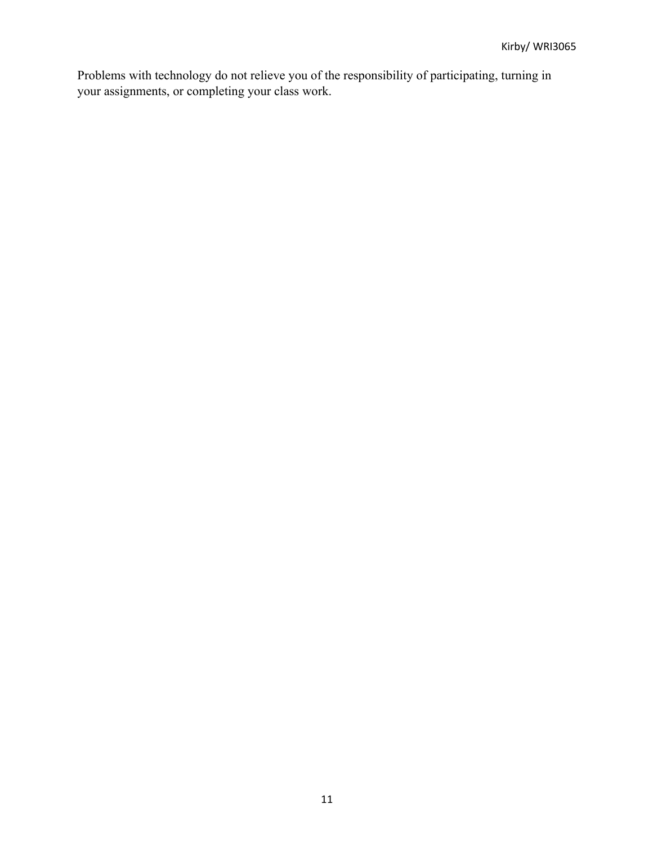Problems with technology do not relieve you of the responsibility of participating, turning in your assignments, or completing your class work.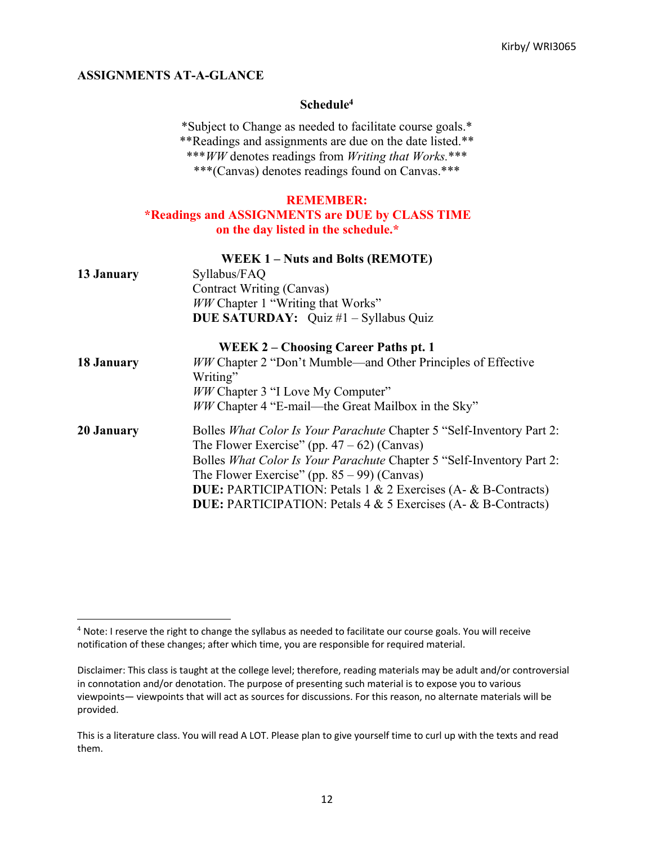#### **ASSIGNMENTS AT-A-GLANCE**

#### **Schedule4**

\*Subject to Change as needed to facilitate course goals.\* \*\*Readings and assignments are due on the date listed.\*\* \*\*\**WW* denotes readings from *Writing that Works.*\*\*\* \*\*\*(Canvas) denotes readings found on Canvas.\*\*\*

#### **REMEMBER:**

#### **\*Readings and ASSIGNMENTS are DUE by CLASS TIME on the day listed in the schedule.\***

|            | <b>WEEK 1-Nuts and Bolts (REMOTE)</b>                                       |
|------------|-----------------------------------------------------------------------------|
| 13 January | Syllabus/FAQ                                                                |
|            | Contract Writing (Canvas)                                                   |
|            | WW Chapter 1 "Writing that Works"                                           |
|            | <b>DUE SATURDAY:</b> Quiz #1 - Syllabus Quiz                                |
|            | <b>WEEK 2 – Choosing Career Paths pt. 1</b>                                 |
| 18 January | WW Chapter 2 "Don't Mumble—and Other Principles of Effective                |
|            | Writing"                                                                    |
|            | <i>WW</i> Chapter 3 "I Love My Computer"                                    |
|            | <i>WW</i> Chapter 4 "E-mail—the Great Mailbox in the Sky"                   |
| 20 January | Bolles What Color Is Your Parachute Chapter 5 "Self-Inventory Part 2:       |
|            | The Flower Exercise" (pp. $47 - 62$ ) (Canvas)                              |
|            | Bolles What Color Is Your Parachute Chapter 5 "Self-Inventory Part 2:       |
|            | The Flower Exercise" (pp. $85 - 99$ ) (Canvas)                              |
|            | <b>DUE:</b> PARTICIPATION: Petals 1 & 2 Exercises (A- & B-Contracts)        |
|            | <b>DUE:</b> PARTICIPATION: Petals $4 \& 5$ Exercises (A- $\& B$ -Contracts) |

<sup>4</sup> Note: I reserve the right to change the syllabus as needed to facilitate our course goals. You will receive notification of these changes; after which time, you are responsible for required material.

Disclaimer: This class is taught at the college level; therefore, reading materials may be adult and/or controversial in connotation and/or denotation. The purpose of presenting such material is to expose you to various viewpoints— viewpoints that will act as sources for discussions. For this reason, no alternate materials will be provided.

This is a literature class. You will read A LOT. Please plan to give yourself time to curl up with the texts and read them.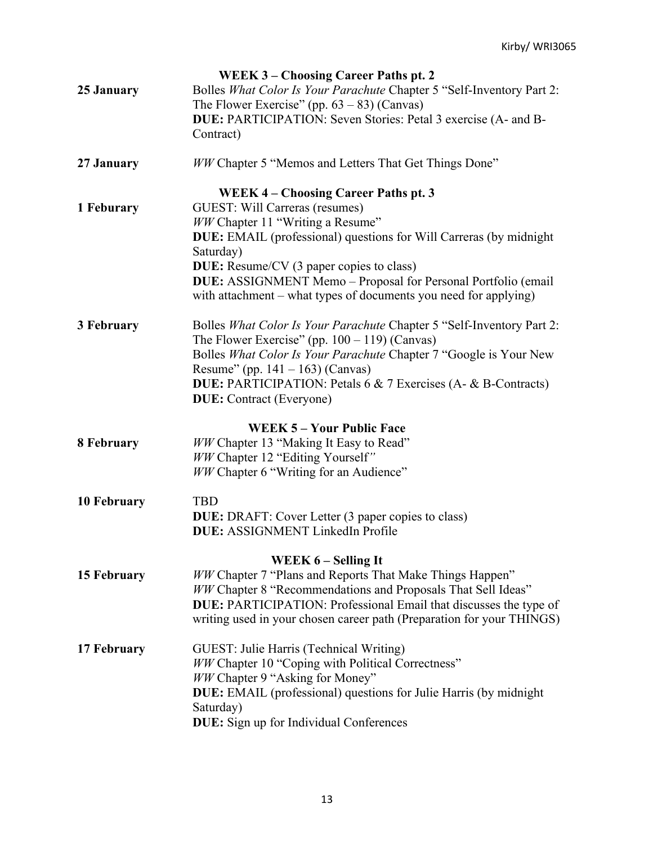|                    | <b>WEEK 3 - Choosing Career Paths pt. 2</b>                                                                                       |
|--------------------|-----------------------------------------------------------------------------------------------------------------------------------|
| 25 January         | Bolles What Color Is Your Parachute Chapter 5 "Self-Inventory Part 2:                                                             |
|                    | The Flower Exercise" (pp. $63 - 83$ ) (Canvas)                                                                                    |
|                    | DUE: PARTICIPATION: Seven Stories: Petal 3 exercise (A- and B-                                                                    |
|                    | Contract)                                                                                                                         |
| 27 January         | <b>WW Chapter 5 "Memos and Letters That Get Things Done"</b>                                                                      |
|                    | <b>WEEK 4 – Choosing Career Paths pt. 3</b>                                                                                       |
| 1 Feburary         | GUEST: Will Carreras (resumes)                                                                                                    |
|                    | WW Chapter 11 "Writing a Resume"                                                                                                  |
|                    | DUE: EMAIL (professional) questions for Will Carreras (by midnight                                                                |
|                    | Saturday)                                                                                                                         |
|                    | <b>DUE:</b> Resume/CV (3 paper copies to class)                                                                                   |
|                    | DUE: ASSIGNMENT Memo - Proposal for Personal Portfolio (email<br>with attachment – what types of documents you need for applying) |
| 3 February         | Bolles What Color Is Your Parachute Chapter 5 "Self-Inventory Part 2:                                                             |
|                    | The Flower Exercise" (pp. $100 - 119$ ) (Canvas)                                                                                  |
|                    | Bolles What Color Is Your Parachute Chapter 7 "Google is Your New                                                                 |
|                    | Resume" (pp. $141 - 163$ ) (Canvas)                                                                                               |
|                    | <b>DUE: PARTICIPATION: Petals 6 &amp; 7 Exercises (A- &amp; B-Contracts)</b>                                                      |
|                    | <b>DUE:</b> Contract (Everyone)                                                                                                   |
|                    | <b>WEEK 5 - Your Public Face</b>                                                                                                  |
| 8 February         | WW Chapter 13 "Making It Easy to Read"                                                                                            |
|                    | WW Chapter 12 "Editing Yourself"                                                                                                  |
|                    | WW Chapter 6 "Writing for an Audience"                                                                                            |
| <b>10 February</b> | <b>TBD</b>                                                                                                                        |
|                    | DUE: DRAFT: Cover Letter (3 paper copies to class)                                                                                |
|                    | <b>DUE: ASSIGNMENT LinkedIn Profile</b>                                                                                           |
|                    | WEEK $6$ – Selling It                                                                                                             |
| 15 February        | WW Chapter 7 "Plans and Reports That Make Things Happen"                                                                          |
|                    | WW Chapter 8 "Recommendations and Proposals That Sell Ideas"                                                                      |
|                    | DUE: PARTICIPATION: Professional Email that discusses the type of                                                                 |
|                    | writing used in your chosen career path (Preparation for your THINGS)                                                             |
| 17 February        | GUEST: Julie Harris (Technical Writing)                                                                                           |
|                    | WW Chapter 10 "Coping with Political Correctness"                                                                                 |
|                    | WW Chapter 9 "Asking for Money"                                                                                                   |
|                    | DUE: EMAIL (professional) questions for Julie Harris (by midnight                                                                 |
|                    | Saturday)                                                                                                                         |
|                    | <b>DUE:</b> Sign up for Individual Conferences                                                                                    |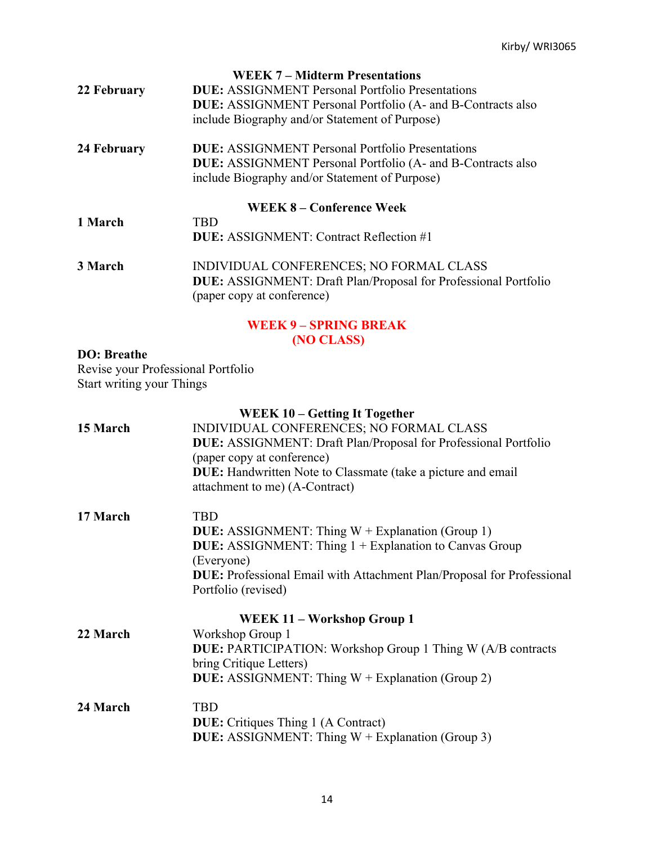|             | <b>WEEK 7 – Midterm Presentations</b>                                                                       |
|-------------|-------------------------------------------------------------------------------------------------------------|
| 22 February | <b>DUE:</b> ASSIGNMENT Personal Portfolio Presentations                                                     |
|             | <b>DUE:</b> ASSIGNMENT Personal Portfolio (A- and B-Contracts also                                          |
|             | include Biography and/or Statement of Purpose)                                                              |
| 24 February | <b>DUE:</b> ASSIGNMENT Personal Portfolio Presentations                                                     |
|             | <b>DUE:</b> ASSIGNMENT Personal Portfolio (A- and B-Contracts also                                          |
|             | include Biography and/or Statement of Purpose)                                                              |
|             | WEEK 8 – Conference Week                                                                                    |
| 1 March     | <b>TBD</b>                                                                                                  |
|             | <b>DUE:</b> ASSIGNMENT: Contract Reflection #1                                                              |
| 3 March     | INDIVIDUAL CONFERENCES; NO FORMAL CLASS                                                                     |
|             | <b>DUE:</b> ASSIGNMENT: Draft Plan/Proposal for Professional Portfolio                                      |
|             | (paper copy at conference)                                                                                  |
|             | $\mathbf{u}$ in $\mathbf{u} \in \mathbb{R}$ and $\mathbf{u} \in \mathbb{R}$ and $\mathbf{u} \in \mathbb{R}$ |

#### **WEEK 9 – SPRING BREAK (NO CLASS)**

# **DO: Breathe**

Revise your Professional Portfolio Start writing your Things

# **WEEK 10 – Getting It Together**

| 15 March | INDIVIDUAL CONFERENCES; NO FORMAL CLASS                                       |
|----------|-------------------------------------------------------------------------------|
|          | <b>DUE:</b> ASSIGNMENT: Draft Plan/Proposal for Professional Portfolio        |
|          | (paper copy at conference)                                                    |
|          | <b>DUE:</b> Handwritten Note to Classmate (take a picture and email           |
|          | attachment to me) (A-Contract)                                                |
| 17 March | <b>TBD</b>                                                                    |
|          | <b>DUE:</b> ASSIGNMENT: Thing W + Explanation (Group 1)                       |
|          | <b>DUE:</b> ASSIGNMENT: Thing 1 + Explanation to Canvas Group                 |
|          | (Everyone)                                                                    |
|          | <b>DUE:</b> Professional Email with Attachment Plan/Proposal for Professional |
|          | Portfolio (revised)                                                           |
|          | WEEK 11 – Workshop Group 1                                                    |
| 22 March | Workshop Group 1                                                              |
|          | <b>DUE:</b> PARTICIPATION: Workshop Group 1 Thing W (A/B contracts            |
|          | bring Critique Letters)                                                       |
|          | <b>DUE:</b> ASSIGNMENT: Thing $W +$ Explanation (Group 2)                     |
| 24 March | <b>TBD</b>                                                                    |
|          | <b>DUE:</b> Critiques Thing 1 (A Contract)                                    |
|          | <b>DUE:</b> ASSIGNMENT: Thing $W +$ Explanation (Group 3)                     |